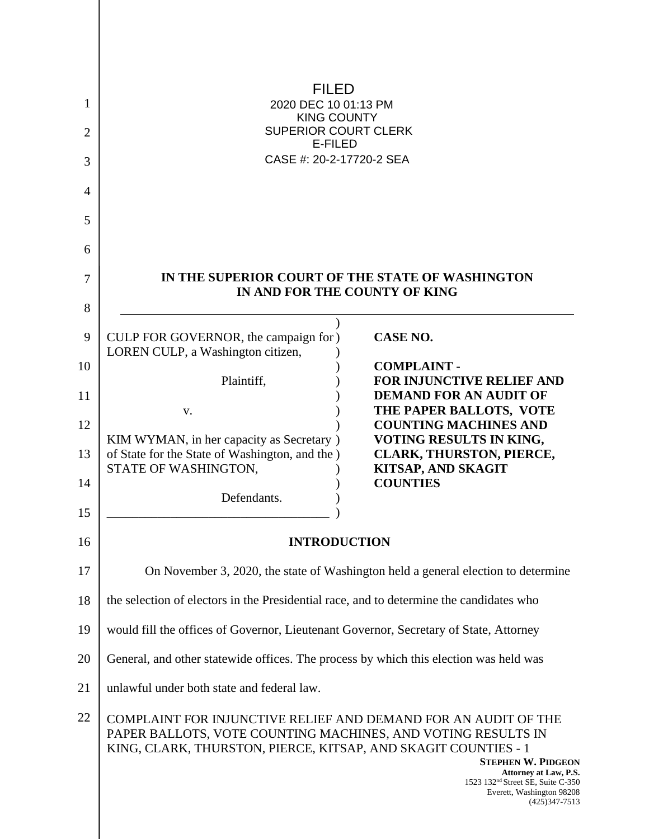| 1<br>$\overline{2}$<br>3 | GEGEÄÖÒÔÁF€ÁEFKFHÁJT<br><b>SOPÕÁÔUWÞVŸ</b><br>ÙWÚÒÜQUÜÁÔUWÜVÁÔŠÒÜS<br><b>ÒËZŠÒÖ</b><br>ÔŒÙÒÁNÁG€ËGËFÏ Ï G€ËGÂÙÒŒ                                                                                 |                                                                                                                                                              |
|--------------------------|--------------------------------------------------------------------------------------------------------------------------------------------------------------------------------------------------|--------------------------------------------------------------------------------------------------------------------------------------------------------------|
| 4                        |                                                                                                                                                                                                  |                                                                                                                                                              |
| 5                        |                                                                                                                                                                                                  |                                                                                                                                                              |
| 6                        |                                                                                                                                                                                                  |                                                                                                                                                              |
| 7                        | IN THE SUPERIOR COURT OF THE STATE OF WASHINGTON<br>IN AND FOR THE COUNTY OF KING                                                                                                                |                                                                                                                                                              |
| 8                        |                                                                                                                                                                                                  |                                                                                                                                                              |
| 9                        | CULP FOR GOVERNOR, the campaign for )                                                                                                                                                            | <b>CASE NO.</b>                                                                                                                                              |
| 10                       | LOREN CULP, a Washington citizen,                                                                                                                                                                | <b>COMPLAINT -</b>                                                                                                                                           |
| 11                       | Plaintiff,                                                                                                                                                                                       | <b>FOR INJUNCTIVE RELIEF AND</b><br><b>DEMAND FOR AN AUDIT OF</b>                                                                                            |
| 12                       | V.                                                                                                                                                                                               | THE PAPER BALLOTS, VOTE<br><b>COUNTING MACHINES AND</b>                                                                                                      |
|                          | KIM WYMAN, in her capacity as Secretary)                                                                                                                                                         | VOTING RESULTS IN KING,                                                                                                                                      |
| 13                       | of State for the State of Washington, and the )<br>STATE OF WASHINGTON,                                                                                                                          | <b>CLARK, THURSTON, PIERCE,</b><br>KITSAP, AND SKAGIT                                                                                                        |
| 14                       |                                                                                                                                                                                                  | <b>COUNTIES</b>                                                                                                                                              |
| 15                       | Defendants.                                                                                                                                                                                      |                                                                                                                                                              |
| 16                       | <b>INTRODUCTION</b>                                                                                                                                                                              |                                                                                                                                                              |
| 17                       |                                                                                                                                                                                                  | On November 3, 2020, the state of Washington held a general election to determine                                                                            |
| 18                       | the selection of electors in the Presidential race, and to determine the candidates who                                                                                                          |                                                                                                                                                              |
| 19                       | would fill the offices of Governor, Lieutenant Governor, Secretary of State, Attorney                                                                                                            |                                                                                                                                                              |
| 20                       | General, and other statewide offices. The process by which this election was held was                                                                                                            |                                                                                                                                                              |
| 21                       | unlawful under both state and federal law.                                                                                                                                                       |                                                                                                                                                              |
| 22                       | COMPLAINT FOR INJUNCTIVE RELIEF AND DEMAND FOR AN AUDIT OF THE<br>PAPER BALLOTS, VOTE COUNTING MACHINES, AND VOTING RESULTS IN<br>KING, CLARK, THURSTON, PIERCE, KITSAP, AND SKAGIT COUNTIES - 1 | <b>STEPHEN W. PIDGEON</b><br><b>Attorney at Law, P.S.</b><br>1523 132 <sup>nd</sup> Street SE, Suite C-350<br>Everett, Washington 98208<br>$(425)347 - 7513$ |
|                          |                                                                                                                                                                                                  |                                                                                                                                                              |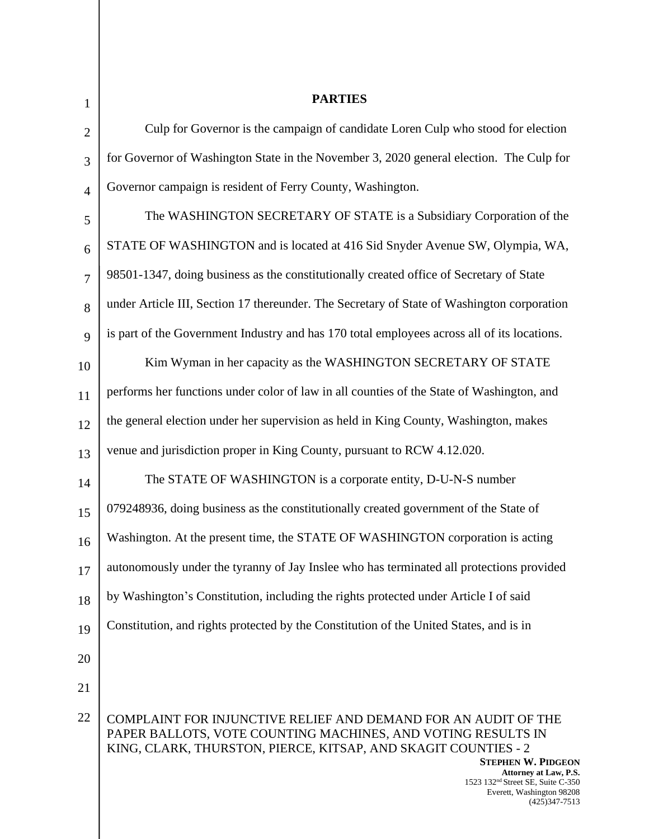| $\mathbf{1}$   | <b>PARTIES</b>                                                                                                                                                                                                                                                                                                                                                   |
|----------------|------------------------------------------------------------------------------------------------------------------------------------------------------------------------------------------------------------------------------------------------------------------------------------------------------------------------------------------------------------------|
| $\mathbf{2}$   | Culp for Governor is the campaign of candidate Loren Culp who stood for election                                                                                                                                                                                                                                                                                 |
| 3              | for Governor of Washington State in the November 3, 2020 general election. The Culp for                                                                                                                                                                                                                                                                          |
| $\overline{4}$ | Governor campaign is resident of Ferry County, Washington.                                                                                                                                                                                                                                                                                                       |
| 5              | The WASHINGTON SECRETARY OF STATE is a Subsidiary Corporation of the                                                                                                                                                                                                                                                                                             |
| 6              | STATE OF WASHINGTON and is located at 416 Sid Snyder Avenue SW, Olympia, WA,                                                                                                                                                                                                                                                                                     |
| $\overline{7}$ | 98501-1347, doing business as the constitutionally created office of Secretary of State                                                                                                                                                                                                                                                                          |
| 8              | under Article III, Section 17 thereunder. The Secretary of State of Washington corporation                                                                                                                                                                                                                                                                       |
| 9              | is part of the Government Industry and has 170 total employees across all of its locations.                                                                                                                                                                                                                                                                      |
| 10             | Kim Wyman in her capacity as the WASHINGTON SECRETARY OF STATE                                                                                                                                                                                                                                                                                                   |
| 11             | performs her functions under color of law in all counties of the State of Washington, and                                                                                                                                                                                                                                                                        |
| 12             | the general election under her supervision as held in King County, Washington, makes                                                                                                                                                                                                                                                                             |
| 13             | venue and jurisdiction proper in King County, pursuant to RCW 4.12.020.                                                                                                                                                                                                                                                                                          |
| 14             | The STATE OF WASHINGTON is a corporate entity, D-U-N-S number                                                                                                                                                                                                                                                                                                    |
| 15             | 079248936, doing business as the constitutionally created government of the State of                                                                                                                                                                                                                                                                             |
| 16             | Washington. At the present time, the STATE OF WASHINGTON corporation is acting                                                                                                                                                                                                                                                                                   |
| 17             | autonomously under the tyranny of Jay Inslee who has terminated all protections provided                                                                                                                                                                                                                                                                         |
| 18             | by Washington's Constitution, including the rights protected under Article I of said                                                                                                                                                                                                                                                                             |
| 19             | Constitution, and rights protected by the Constitution of the United States, and is in                                                                                                                                                                                                                                                                           |
| 20             |                                                                                                                                                                                                                                                                                                                                                                  |
| 21             |                                                                                                                                                                                                                                                                                                                                                                  |
| 22             | COMPLAINT FOR INJUNCTIVE RELIEF AND DEMAND FOR AN AUDIT OF THE<br>PAPER BALLOTS, VOTE COUNTING MACHINES, AND VOTING RESULTS IN<br>KING, CLARK, THURSTON, PIERCE, KITSAP, AND SKAGIT COUNTIES - 2<br><b>STEPHEN W. PIDGEON</b><br><b>Attorney at Law, P.S.</b><br>1523 132 <sup>nd</sup> Street SE, Suite C-350<br>Everett, Washington 98208<br>$(425)347 - 7513$ |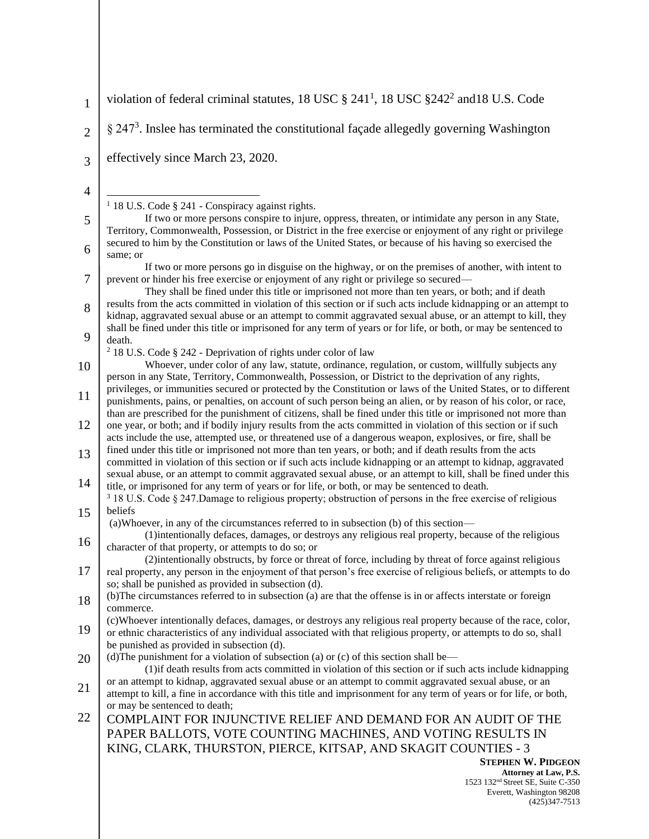COMPLAINT FOR INJUNCTIVE RELIEF AND DEMAND FOR AN AUDIT OF THE PAPER BALLOTS, VOTE COUNTING MACHINES, AND VOTING RESULTS IN KING, CLARK, THURSTON, PIERCE, KITSAP, AND SKAGIT COUNTIES - 3 **STEPHEN W. PIDGEON Attorney at Law, P.S.** 1523 132nd Street SE, Suite C-350 Everett, Washington 98208 (425)347-7513 1 2 3 4 5 6 7 8 9 10 11 12 13 14 15 16 17 18 19 20 21 22 violation of federal criminal statutes,  $18 \text{ USC} \text{ } $241^1, 18 \text{ USC} \text{ } $242^2 \text{ and} 18 \text{ U.S. Code}$ § 247<sup>3</sup>. Inslee has terminated the constitutional façade allegedly governing Washington effectively since March 23, 2020. <sup>1</sup> 18 U.S. Code § 241 - Conspiracy against rights. If two or more persons conspire to injure, oppress, threaten, or intimidate any person in any State, Territory, Commonwealth, Possession, or District in the free exercise or enjoyment of any right or privilege secured to him by the Constitution or laws of the United States, or because of his having so exercised the same; or If two or more persons go in disguise on the highway, or on the premises of another, with intent to prevent or hinder his free exercise or enjoyment of any right or privilege so secured— They shall be fined under this title or imprisoned not more than ten years, or both; and if death results from the acts committed in violation of this section or if such acts include kidnapping or an attempt to kidnap, aggravated sexual abuse or an attempt to commit aggravated sexual abuse, or an attempt to kill, they shall be fined under this title or imprisoned for any term of years or for life, or both, or may be sentenced to death. <sup>2</sup> 18 U.S. Code § 242 - Deprivation of rights under color of law Whoever, under color of any law, statute, ordinance, regulation, or custom, willfully subjects any person in any State, Territory, Commonwealth, Possession, or District to the deprivation of any rights, privileges, or immunities secured or protected by the Constitution or laws of the United States, or to different punishments, pains, or penalties, on account of such person being an alien, or by reason of his color, or race, than are prescribed for the punishment of citizens, shall be fined under this title or imprisoned not more than one year, or both; and if bodily injury results from the acts committed in violation of this section or if such acts include the use, attempted use, or threatened use of a dangerous weapon, explosives, or fire, shall be fined under this title or imprisoned not more than ten years, or both; and if death results from the acts committed in violation of this section or if such acts include kidnapping or an attempt to kidnap, aggravated sexual abuse, or an attempt to commit aggravated sexual abuse, or an attempt to kill, shall be fined under this title, or imprisoned for any term of years or for life, or both, or may be sentenced to death. <sup>3</sup> 18 U.S. Code § 247.Damage to religious property; obstruction of persons in the free exercise of religious beliefs (a)Whoever, in any of the circumstances referred to in subsection (b) of this section— (1)intentionally defaces, damages, or destroys any religious real property, because of the religious character of that property, or attempts to do so; or (2)intentionally obstructs, by force or threat of force, including by threat of force against religious real property, any person in the enjoyment of that person's free exercise of religious beliefs, or attempts to do so; shall be punished as provided in subsection (d). (b)The circumstances referred to in subsection (a) are that the offense is in or affects interstate or foreign commerce. (c)Whoever intentionally defaces, damages, or destroys any religious real property because of the race, color, or ethnic characteristics of any individual associated with that religious property, or attempts to do so, shall be punished as provided in subsection (d). (d) The punishment for a violation of subsection (a) or (c) of this section shall be— (1)if death results from acts committed in violation of this section or if such acts include kidnapping or an attempt to kidnap, aggravated sexual abuse or an attempt to commit aggravated sexual abuse, or an attempt to kill, a fine in accordance with this title and imprisonment for any term of years or for life, or both, or may be sentenced to death;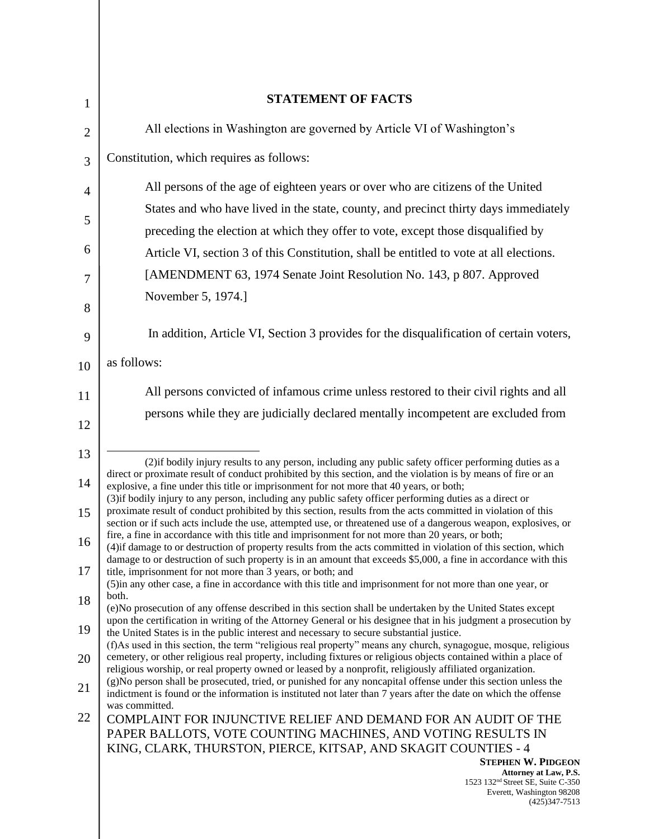| $\mathbf{1}$   | <b>STATEMENT OF FACTS</b>                                                                                                                                                                                                                                                                                                                    |
|----------------|----------------------------------------------------------------------------------------------------------------------------------------------------------------------------------------------------------------------------------------------------------------------------------------------------------------------------------------------|
| $\overline{2}$ | All elections in Washington are governed by Article VI of Washington's                                                                                                                                                                                                                                                                       |
| 3              | Constitution, which requires as follows:                                                                                                                                                                                                                                                                                                     |
| $\overline{4}$ | All persons of the age of eighteen years or over who are citizens of the United                                                                                                                                                                                                                                                              |
| 5              | States and who have lived in the state, county, and precinct thirty days immediately                                                                                                                                                                                                                                                         |
| 6              | preceding the election at which they offer to vote, except those disqualified by<br>Article VI, section 3 of this Constitution, shall be entitled to vote at all elections.                                                                                                                                                                  |
| 7              | [AMENDMENT 63, 1974 Senate Joint Resolution No. 143, p 807. Approved                                                                                                                                                                                                                                                                         |
| 8              | November 5, 1974.]                                                                                                                                                                                                                                                                                                                           |
| 9              | In addition, Article VI, Section 3 provides for the disqualification of certain voters,                                                                                                                                                                                                                                                      |
| 10             | as follows:                                                                                                                                                                                                                                                                                                                                  |
| 11             | All persons convicted of infamous crime unless restored to their civil rights and all                                                                                                                                                                                                                                                        |
| 12             | persons while they are judicially declared mentally incompetent are excluded from                                                                                                                                                                                                                                                            |
| 13             | (2) if bodily injury results to any person, including any public safety officer performing duties as a                                                                                                                                                                                                                                       |
| 14             | direct or proximate result of conduct prohibited by this section, and the violation is by means of fire or an<br>explosive, a fine under this title or imprisonment for not more that 40 years, or both;                                                                                                                                     |
| 15             | (3) if bodily injury to any person, including any public safety officer performing duties as a direct or<br>proximate result of conduct prohibited by this section, results from the acts committed in violation of this<br>section or if such acts include the use, attempted use, or threatened use of a dangerous weapon, explosives, or  |
| 16             | fire, a fine in accordance with this title and imprisonment for not more than 20 years, or both;<br>(4) if damage to or destruction of property results from the acts committed in violation of this section, which                                                                                                                          |
| 17             | damage to or destruction of such property is in an amount that exceeds \$5,000, a fine in accordance with this<br>title, imprisonment for not more than 3 years, or both; and                                                                                                                                                                |
| 18             | (5) in any other case, a fine in accordance with this title and imprisonment for not more than one year, or<br>both.<br>(e)No prosecution of any offense described in this section shall be undertaken by the United States except                                                                                                           |
| 19             | upon the certification in writing of the Attorney General or his designee that in his judgment a prosecution by<br>the United States is in the public interest and necessary to secure substantial justice.                                                                                                                                  |
| 20             | (f)As used in this section, the term "religious real property" means any church, synagogue, mosque, religious<br>cemetery, or other religious real property, including fixtures or religious objects contained within a place of                                                                                                             |
| 21             | religious worship, or real property owned or leased by a nonprofit, religiously affiliated organization.<br>(g)No person shall be prosecuted, tried, or punished for any noncapital offense under this section unless the<br>indictment is found or the information is instituted not later than 7 years after the date on which the offense |
| 22             | was committed.<br>COMPLAINT FOR INJUNCTIVE RELIEF AND DEMAND FOR AN AUDIT OF THE                                                                                                                                                                                                                                                             |
|                | PAPER BALLOTS, VOTE COUNTING MACHINES, AND VOTING RESULTS IN<br>KING, CLARK, THURSTON, PIERCE, KITSAP, AND SKAGIT COUNTIES - 4                                                                                                                                                                                                               |
|                | <b>STEPHEN W. PIDGEON</b><br><b>Attorney at Law, P.S.</b><br>1523 132 <sup>nd</sup> Street SE, Suite C-350<br>Everett, Washington 98208<br>$(425)347 - 7513$                                                                                                                                                                                 |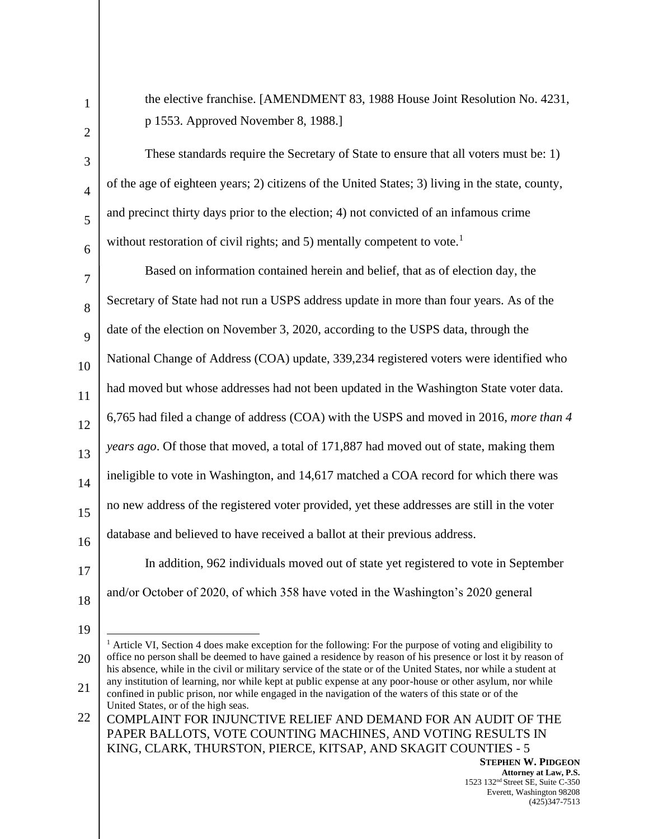| $\mathbf{1}$   | the elective franchise. [AMENDMENT 83, 1988 House Joint Resolution No. 4231,                                                                                                                                                                                                                                                           |
|----------------|----------------------------------------------------------------------------------------------------------------------------------------------------------------------------------------------------------------------------------------------------------------------------------------------------------------------------------------|
| $\overline{2}$ | p 1553. Approved November 8, 1988.]                                                                                                                                                                                                                                                                                                    |
| 3              | These standards require the Secretary of State to ensure that all voters must be: 1)                                                                                                                                                                                                                                                   |
| $\overline{4}$ | of the age of eighteen years; 2) citizens of the United States; 3) living in the state, county,                                                                                                                                                                                                                                        |
| 5              | and precinct thirty days prior to the election; 4) not convicted of an infamous crime                                                                                                                                                                                                                                                  |
| 6              | without restoration of civil rights; and 5) mentally competent to vote. <sup>1</sup>                                                                                                                                                                                                                                                   |
| $\overline{7}$ | Based on information contained herein and belief, that as of election day, the                                                                                                                                                                                                                                                         |
| 8              | Secretary of State had not run a USPS address update in more than four years. As of the                                                                                                                                                                                                                                                |
| 9              | date of the election on November 3, 2020, according to the USPS data, through the                                                                                                                                                                                                                                                      |
| 10             | National Change of Address (COA) update, 339,234 registered voters were identified who                                                                                                                                                                                                                                                 |
| 11             | had moved but whose addresses had not been updated in the Washington State voter data.                                                                                                                                                                                                                                                 |
| 12             | 6,765 had filed a change of address (COA) with the USPS and moved in 2016, more than 4                                                                                                                                                                                                                                                 |
| 13             | years ago. Of those that moved, a total of 171,887 had moved out of state, making them                                                                                                                                                                                                                                                 |
| 14             | ineligible to vote in Washington, and 14,617 matched a COA record for which there was                                                                                                                                                                                                                                                  |
| 15             | no new address of the registered voter provided, yet these addresses are still in the voter                                                                                                                                                                                                                                            |
| 16             | database and believed to have received a ballot at their previous address.                                                                                                                                                                                                                                                             |
| 17             | In addition, 962 individuals moved out of state yet registered to vote in September                                                                                                                                                                                                                                                    |
| 18             | and/or October of 2020, of which 358 have voted in the Washington's 2020 general                                                                                                                                                                                                                                                       |
| 19             |                                                                                                                                                                                                                                                                                                                                        |
| 20             | <sup>1</sup> Article VI, Section 4 does make exception for the following: For the purpose of voting and eligibility to<br>office no person shall be deemed to have gained a residence by reason of his presence or lost it by reason of                                                                                                |
| 21             | his absence, while in the civil or military service of the state or of the United States, nor while a student at<br>any institution of learning, nor while kept at public expense at any poor-house or other asylum, nor while<br>confined in public prison, nor while engaged in the navigation of the waters of this state or of the |
| 22             | United States, or of the high seas.<br>COMPLAINT FOR INJUNCTIVE RELIEF AND DEMAND FOR AN AUDIT OF THE                                                                                                                                                                                                                                  |
|                | PAPER BALLOTS, VOTE COUNTING MACHINES, AND VOTING RESULTS IN<br>KING, CLARK, THURSTON, PIERCE, KITSAP, AND SKAGIT COUNTIES - 5<br><b>STEPHEN W. PIDGEO</b>                                                                                                                                                                             |
|                |                                                                                                                                                                                                                                                                                                                                        |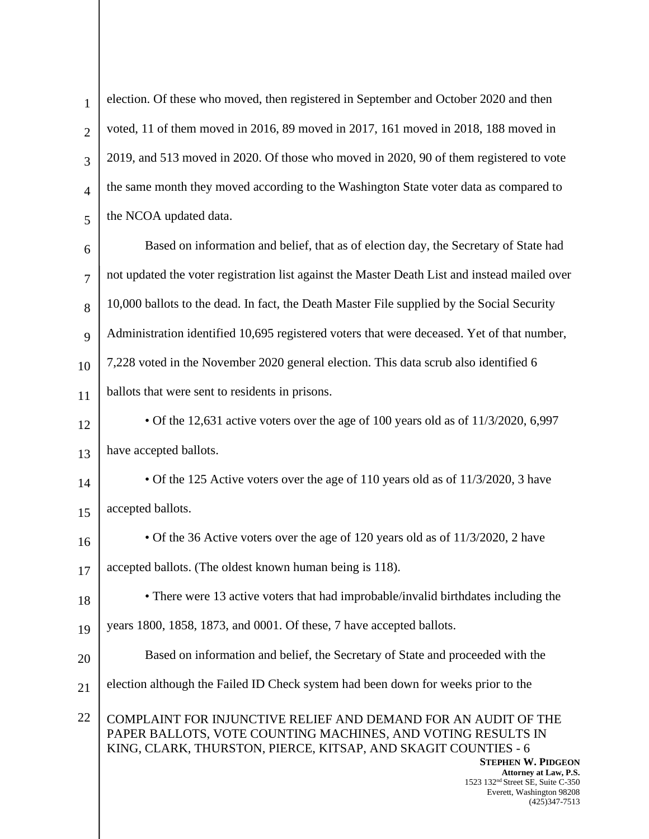| $\mathbf{1}$   | election. Of these who moved, then registered in September and October 2020 and then                                                                                                                                                                                                                                                                             |
|----------------|------------------------------------------------------------------------------------------------------------------------------------------------------------------------------------------------------------------------------------------------------------------------------------------------------------------------------------------------------------------|
| $\overline{2}$ | voted, 11 of them moved in 2016, 89 moved in 2017, 161 moved in 2018, 188 moved in                                                                                                                                                                                                                                                                               |
| 3              | 2019, and 513 moved in 2020. Of those who moved in 2020, 90 of them registered to vote                                                                                                                                                                                                                                                                           |
| $\overline{4}$ | the same month they moved according to the Washington State voter data as compared to                                                                                                                                                                                                                                                                            |
| 5              | the NCOA updated data.                                                                                                                                                                                                                                                                                                                                           |
| 6              | Based on information and belief, that as of election day, the Secretary of State had                                                                                                                                                                                                                                                                             |
| $\overline{7}$ | not updated the voter registration list against the Master Death List and instead mailed over                                                                                                                                                                                                                                                                    |
| 8              | 10,000 ballots to the dead. In fact, the Death Master File supplied by the Social Security                                                                                                                                                                                                                                                                       |
| 9              | Administration identified 10,695 registered voters that were deceased. Yet of that number,                                                                                                                                                                                                                                                                       |
| 10             | 7,228 voted in the November 2020 general election. This data scrub also identified 6                                                                                                                                                                                                                                                                             |
| 11             | ballots that were sent to residents in prisons.                                                                                                                                                                                                                                                                                                                  |
| 12             | • Of the 12,631 active voters over the age of 100 years old as of 11/3/2020, 6,997                                                                                                                                                                                                                                                                               |
| 13             | have accepted ballots.                                                                                                                                                                                                                                                                                                                                           |
| 14             | • Of the 125 Active voters over the age of 110 years old as of 11/3/2020, 3 have                                                                                                                                                                                                                                                                                 |
| 15             | accepted ballots.                                                                                                                                                                                                                                                                                                                                                |
| 16             | • Of the 36 Active voters over the age of 120 years old as of 11/3/2020, 2 have                                                                                                                                                                                                                                                                                  |
| 17             | accepted ballots. (The oldest known human being is 118).                                                                                                                                                                                                                                                                                                         |
| 18             | • There were 13 active voters that had improbable/invalid birthdates including the                                                                                                                                                                                                                                                                               |
| 19             | years 1800, 1858, 1873, and 0001. Of these, 7 have accepted ballots.                                                                                                                                                                                                                                                                                             |
| 20             | Based on information and belief, the Secretary of State and proceeded with the                                                                                                                                                                                                                                                                                   |
| 21             | election although the Failed ID Check system had been down for weeks prior to the                                                                                                                                                                                                                                                                                |
| 22             | COMPLAINT FOR INJUNCTIVE RELIEF AND DEMAND FOR AN AUDIT OF THE<br>PAPER BALLOTS, VOTE COUNTING MACHINES, AND VOTING RESULTS IN<br>KING, CLARK, THURSTON, PIERCE, KITSAP, AND SKAGIT COUNTIES - 6<br><b>STEPHEN W. PIDGEON</b><br><b>Attorney at Law, P.S.</b><br>1523 132 <sup>nd</sup> Street SE, Suite C-350<br>Everett, Washington 98208<br>$(425)347 - 7513$ |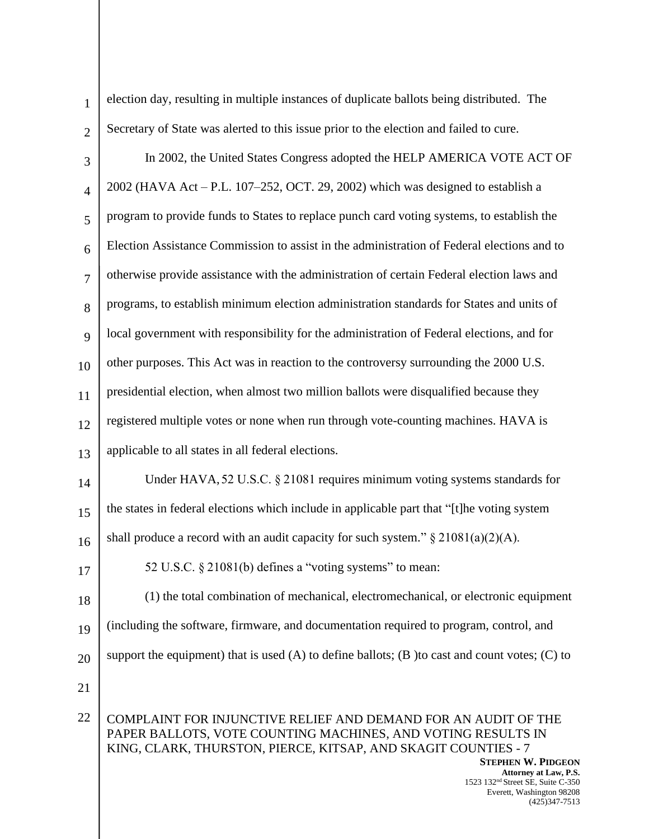| $\mathbf{1}$   | election day, resulting in multiple instances of duplicate ballots being distributed. The                                                                                                                                                                                                                                                                        |
|----------------|------------------------------------------------------------------------------------------------------------------------------------------------------------------------------------------------------------------------------------------------------------------------------------------------------------------------------------------------------------------|
| $\overline{2}$ | Secretary of State was alerted to this issue prior to the election and failed to cure.                                                                                                                                                                                                                                                                           |
| 3              | In 2002, the United States Congress adopted the HELP AMERICA VOTE ACT OF                                                                                                                                                                                                                                                                                         |
| $\overline{4}$ | $2002$ (HAVA Act – P.L. 107–252, OCT. 29, 2002) which was designed to establish a                                                                                                                                                                                                                                                                                |
| 5              | program to provide funds to States to replace punch card voting systems, to establish the                                                                                                                                                                                                                                                                        |
| 6              | Election Assistance Commission to assist in the administration of Federal elections and to                                                                                                                                                                                                                                                                       |
| $\overline{7}$ | otherwise provide assistance with the administration of certain Federal election laws and                                                                                                                                                                                                                                                                        |
| 8              | programs, to establish minimum election administration standards for States and units of                                                                                                                                                                                                                                                                         |
| 9              | local government with responsibility for the administration of Federal elections, and for                                                                                                                                                                                                                                                                        |
| 10             | other purposes. This Act was in reaction to the controversy surrounding the 2000 U.S.                                                                                                                                                                                                                                                                            |
| 11             | presidential election, when almost two million ballots were disqualified because they                                                                                                                                                                                                                                                                            |
| 12             | registered multiple votes or none when run through vote-counting machines. HAVA is                                                                                                                                                                                                                                                                               |
| 13             | applicable to all states in all federal elections.                                                                                                                                                                                                                                                                                                               |
| 14             | Under HAVA, 52 U.S.C. § 21081 requires minimum voting systems standards for                                                                                                                                                                                                                                                                                      |
| 15             | the states in federal elections which include in applicable part that "[t]he voting system                                                                                                                                                                                                                                                                       |
| 16             | shall produce a record with an audit capacity for such system." $\S 21081(a)(2)(A)$ .                                                                                                                                                                                                                                                                            |
| 17             | 52 U.S.C. § 21081(b) defines a "voting systems" to mean:                                                                                                                                                                                                                                                                                                         |
| 18             | (1) the total combination of mechanical, electromechanical, or electronic equipment                                                                                                                                                                                                                                                                              |
| 19             | (including the software, firmware, and documentation required to program, control, and                                                                                                                                                                                                                                                                           |
| 20             | support the equipment) that is used $(A)$ to define ballots; $(B)$ to cast and count votes; $(C)$ to                                                                                                                                                                                                                                                             |
| 21             |                                                                                                                                                                                                                                                                                                                                                                  |
| 22             | COMPLAINT FOR INJUNCTIVE RELIEF AND DEMAND FOR AN AUDIT OF THE<br>PAPER BALLOTS, VOTE COUNTING MACHINES, AND VOTING RESULTS IN<br>KING, CLARK, THURSTON, PIERCE, KITSAP, AND SKAGIT COUNTIES - 7<br><b>STEPHEN W. PIDGEON</b><br><b>Attorney at Law, P.S.</b><br>1523 132 <sup>nd</sup> Street SE, Suite C-350<br>Everett, Washington 98208<br>$(425)347 - 7513$ |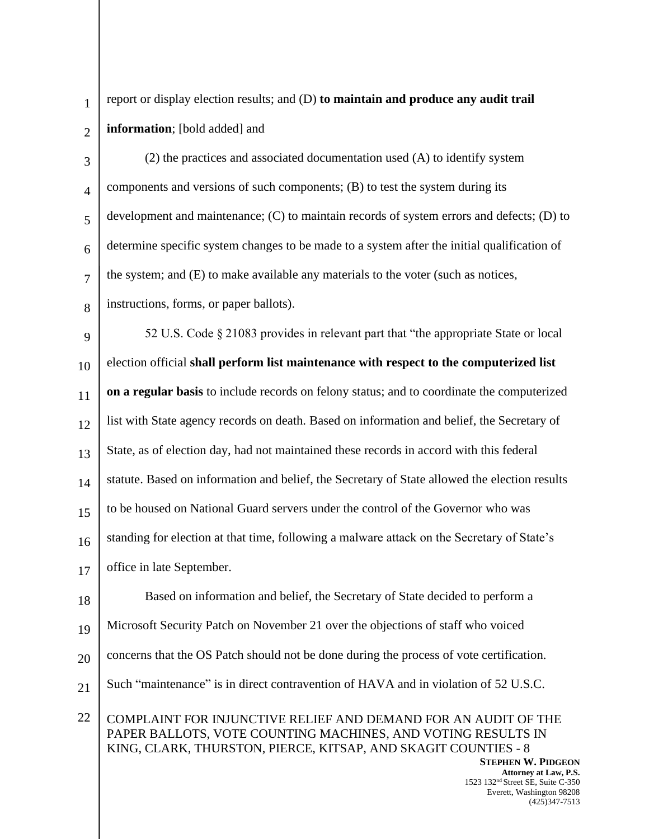- 1  $\mathcal{D}_{\alpha}$ report or display election results; and (D) **to maintain and produce any audit trail information**; [bold added] and
- 3 4 5 6 7 (2) the practices and associated documentation used (A) to identify system components and versions of such components; (B) to test the system during its development and maintenance; (C) to maintain records of system errors and defects; (D) to determine specific system changes to be made to a system after the initial qualification of the system; and (E) to make available any materials to the voter (such as notices, instructions, forms, or paper ballots).

8

COMPLAINT FOR INJUNCTIVE RELIEF AND DEMAND FOR AN AUDIT OF THE PAPER BALLOTS, VOTE COUNTING MACHINES, AND VOTING RESULTS IN KING, CLARK, THURSTON, PIERCE, KITSAP, AND SKAGIT COUNTIES - 8 9 10 11 12 13 14 15 16 17 18 19 20 21 22 52 U.S. Code § 21083 provides in relevant part that "the appropriate State or local election official **shall perform list maintenance with respect to the computerized list on a regular basis** to include records on felony status; and to coordinate the computerized list with State agency records on death. Based on information and belief, the Secretary of State, as of election day, had not maintained these records in accord with this federal statute. Based on information and belief, the Secretary of State allowed the election results to be housed on National Guard servers under the control of the Governor who was standing for election at that time, following a malware attack on the Secretary of State's office in late September. Based on information and belief, the Secretary of State decided to perform a Microsoft Security Patch on November 21 over the objections of staff who voiced concerns that the OS Patch should not be done during the process of vote certification. Such "maintenance" is in direct contravention of HAVA and in violation of 52 U.S.C.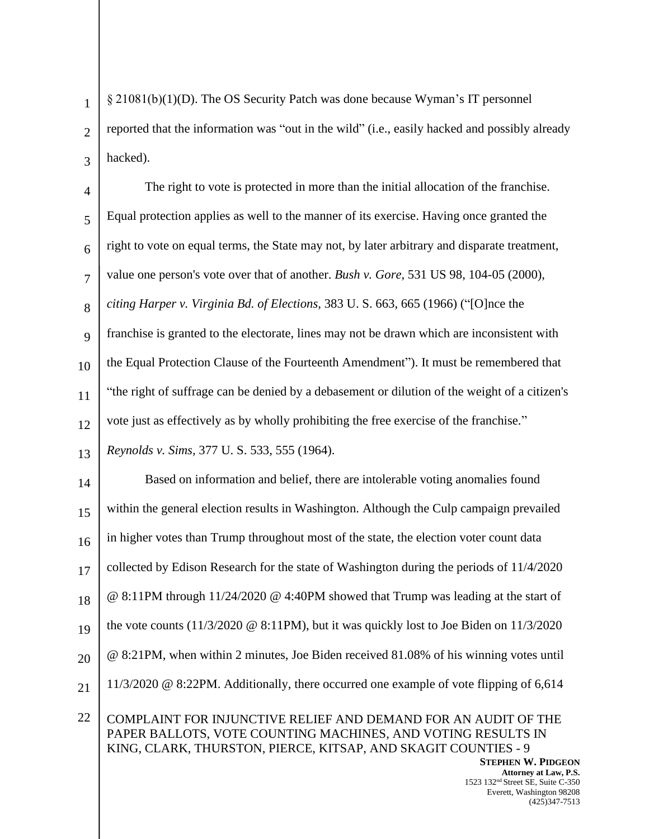1  $\mathcal{D}_{\alpha}$ 3 § 21081(b)(1)(D). The OS Security Patch was done because Wyman's IT personnel reported that the information was "out in the wild" (i.e., easily hacked and possibly already hacked).

4 5 6 7 8 9 10 11 12 13 14 15 16 17 18 19 20 21 The right to vote is protected in more than the initial allocation of the franchise. Equal protection applies as well to the manner of its exercise. Having once granted the right to vote on equal terms, the State may not, by later arbitrary and disparate treatment, value one person's vote over that of another. *Bush v. Gore,* 531 US 98, 104-05 (2000), *citing Harper v. Virginia Bd. of Elections,* 383 U. S. 663, 665 (1966) ("[O]nce the franchise is granted to the electorate, lines may not be drawn which are inconsistent with the Equal Protection Clause of the Fourteenth Amendment"). It must be remembered that "the right of suffrage can be denied by a debasement or dilution of the weight of a citizen's vote just as effectively as by wholly prohibiting the free exercise of the franchise." *Reynolds v. Sims,* 377 U. S. 533, 555 (1964). Based on information and belief, there are intolerable voting anomalies found within the general election results in Washington. Although the Culp campaign prevailed in higher votes than Trump throughout most of the state, the election voter count data collected by Edison Research for the state of Washington during the periods of 11/4/2020 @ 8:11PM through 11/24/2020 @ 4:40PM showed that Trump was leading at the start of the vote counts  $(11/3/2020 \t@ 8:11PM)$ , but it was quickly lost to Joe Biden on  $11/3/2020$ @ 8:21PM, when within 2 minutes, Joe Biden received 81.08% of his winning votes until 11/3/2020 @ 8:22PM. Additionally, there occurred one example of vote flipping of 6,614

COMPLAINT FOR INJUNCTIVE RELIEF AND DEMAND FOR AN AUDIT OF THE PAPER BALLOTS, VOTE COUNTING MACHINES, AND VOTING RESULTS IN KING, CLARK, THURSTON, PIERCE, KITSAP, AND SKAGIT COUNTIES - 9 22

**STEPHEN W. PIDGEON Attorney at Law, P.S.** 1523 132nd Street SE, Suite C-350 Everett, Washington 98208 (425)347-7513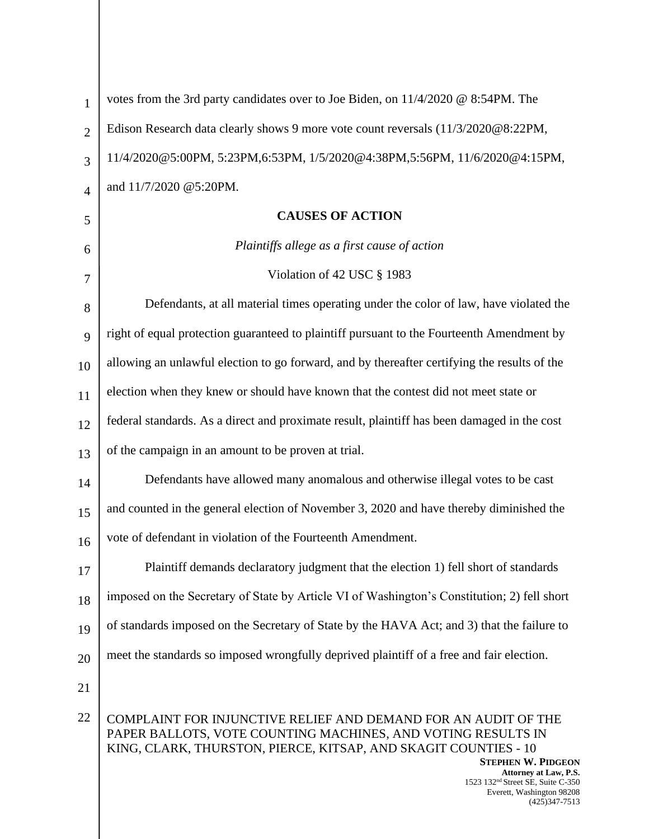| $\mathbf{1}$   | votes from the 3rd party candidates over to Joe Biden, on 11/4/2020 @ 8:54PM. The                                                                                                                                                                                                                                                                                 |
|----------------|-------------------------------------------------------------------------------------------------------------------------------------------------------------------------------------------------------------------------------------------------------------------------------------------------------------------------------------------------------------------|
| $\overline{2}$ | Edison Research data clearly shows 9 more vote count reversals (11/3/2020@8:22PM,                                                                                                                                                                                                                                                                                 |
| 3              | 11/4/2020@5:00PM, 5:23PM, 6:53PM, 1/5/2020@4:38PM, 5:56PM, 11/6/2020@4:15PM,                                                                                                                                                                                                                                                                                      |
| $\overline{4}$ | and 11/7/2020 @5:20PM.                                                                                                                                                                                                                                                                                                                                            |
| 5              | <b>CAUSES OF ACTION</b>                                                                                                                                                                                                                                                                                                                                           |
| 6              | Plaintiffs allege as a first cause of action                                                                                                                                                                                                                                                                                                                      |
| $\overline{7}$ | Violation of 42 USC § 1983                                                                                                                                                                                                                                                                                                                                        |
| 8              | Defendants, at all material times operating under the color of law, have violated the                                                                                                                                                                                                                                                                             |
| 9              | right of equal protection guaranteed to plaintiff pursuant to the Fourteenth Amendment by                                                                                                                                                                                                                                                                         |
| 10             | allowing an unlawful election to go forward, and by thereafter certifying the results of the                                                                                                                                                                                                                                                                      |
| 11             | election when they knew or should have known that the contest did not meet state or                                                                                                                                                                                                                                                                               |
| 12             | federal standards. As a direct and proximate result, plaintiff has been damaged in the cost                                                                                                                                                                                                                                                                       |
| 13             | of the campaign in an amount to be proven at trial.                                                                                                                                                                                                                                                                                                               |
| 14             | Defendants have allowed many anomalous and otherwise illegal votes to be cast                                                                                                                                                                                                                                                                                     |
| 15             | and counted in the general election of November 3, 2020 and have thereby diminished the                                                                                                                                                                                                                                                                           |
| 16             | vote of defendant in violation of the Fourteenth Amendment.                                                                                                                                                                                                                                                                                                       |
| 17             | Plaintiff demands declaratory judgment that the election 1) fell short of standards                                                                                                                                                                                                                                                                               |
| 18             | imposed on the Secretary of State by Article VI of Washington's Constitution; 2) fell short                                                                                                                                                                                                                                                                       |
| 19             | of standards imposed on the Secretary of State by the HAVA Act; and 3) that the failure to                                                                                                                                                                                                                                                                        |
| 20             | meet the standards so imposed wrongfully deprived plaintiff of a free and fair election.                                                                                                                                                                                                                                                                          |
| 21             |                                                                                                                                                                                                                                                                                                                                                                   |
| 22             | COMPLAINT FOR INJUNCTIVE RELIEF AND DEMAND FOR AN AUDIT OF THE<br>PAPER BALLOTS, VOTE COUNTING MACHINES, AND VOTING RESULTS IN<br>KING, CLARK, THURSTON, PIERCE, KITSAP, AND SKAGIT COUNTIES - 10<br><b>STEPHEN W. PIDGEON</b><br><b>Attorney at Law, P.S.</b><br>1523 132 <sup>nd</sup> Street SE, Suite C-350<br>Everett, Washington 98208<br>$(425)347 - 7513$ |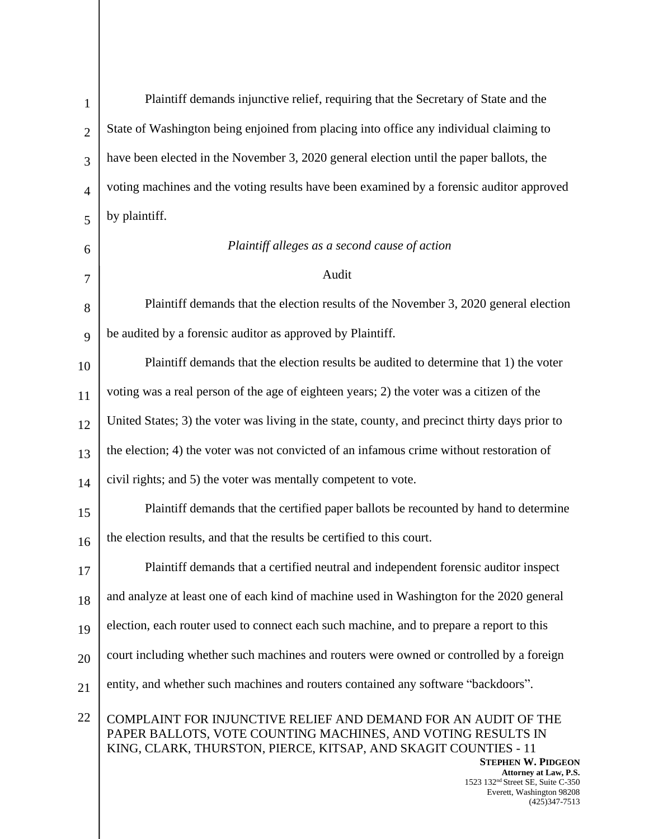| $\mathbf{1}$   | Plaintiff demands injunctive relief, requiring that the Secretary of State and the                                                                                                                                                                                                                                                                                |
|----------------|-------------------------------------------------------------------------------------------------------------------------------------------------------------------------------------------------------------------------------------------------------------------------------------------------------------------------------------------------------------------|
| $\overline{2}$ | State of Washington being enjoined from placing into office any individual claiming to                                                                                                                                                                                                                                                                            |
| 3              | have been elected in the November 3, 2020 general election until the paper ballots, the                                                                                                                                                                                                                                                                           |
| $\overline{4}$ | voting machines and the voting results have been examined by a forensic auditor approved                                                                                                                                                                                                                                                                          |
| 5              | by plaintiff.                                                                                                                                                                                                                                                                                                                                                     |
| 6              | Plaintiff alleges as a second cause of action                                                                                                                                                                                                                                                                                                                     |
| $\overline{7}$ | Audit                                                                                                                                                                                                                                                                                                                                                             |
| 8              | Plaintiff demands that the election results of the November 3, 2020 general election                                                                                                                                                                                                                                                                              |
| 9              | be audited by a forensic auditor as approved by Plaintiff.                                                                                                                                                                                                                                                                                                        |
| 10             | Plaintiff demands that the election results be audited to determine that 1) the voter                                                                                                                                                                                                                                                                             |
| 11             | voting was a real person of the age of eighteen years; 2) the voter was a citizen of the                                                                                                                                                                                                                                                                          |
| 12             | United States; 3) the voter was living in the state, county, and precinct thirty days prior to                                                                                                                                                                                                                                                                    |
| 13             | the election; 4) the voter was not convicted of an infamous crime without restoration of                                                                                                                                                                                                                                                                          |
| 14             | civil rights; and 5) the voter was mentally competent to vote.                                                                                                                                                                                                                                                                                                    |
| 15             | Plaintiff demands that the certified paper ballots be recounted by hand to determine                                                                                                                                                                                                                                                                              |
| 16             | the election results, and that the results be certified to this court.                                                                                                                                                                                                                                                                                            |
| 17             | Plaintiff demands that a certified neutral and independent forensic auditor inspect                                                                                                                                                                                                                                                                               |
| 18             | and analyze at least one of each kind of machine used in Washington for the 2020 general                                                                                                                                                                                                                                                                          |
| 19             | election, each router used to connect each such machine, and to prepare a report to this                                                                                                                                                                                                                                                                          |
| 20             | court including whether such machines and routers were owned or controlled by a foreign                                                                                                                                                                                                                                                                           |
| 21             | entity, and whether such machines and routers contained any software "backdoors".                                                                                                                                                                                                                                                                                 |
| 22             | COMPLAINT FOR INJUNCTIVE RELIEF AND DEMAND FOR AN AUDIT OF THE<br>PAPER BALLOTS, VOTE COUNTING MACHINES, AND VOTING RESULTS IN<br>KING, CLARK, THURSTON, PIERCE, KITSAP, AND SKAGIT COUNTIES - 11<br><b>STEPHEN W. PIDGEON</b><br><b>Attorney at Law, P.S.</b><br>1523 132 <sup>nd</sup> Street SE, Suite C-350<br>Everett, Washington 98208<br>$(425)347 - 7513$ |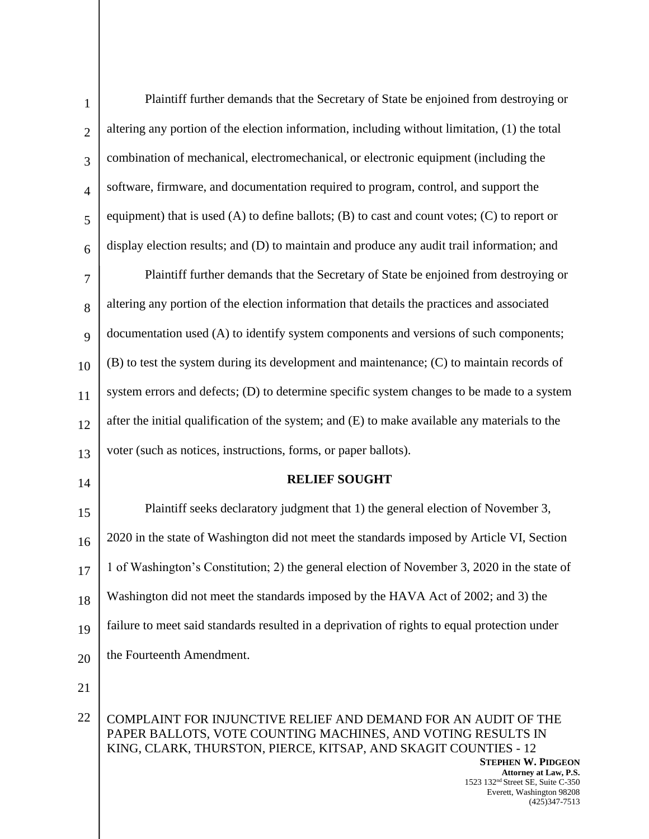| $\mathbf{1}$   | Plaintiff further demands that the Secretary of State be enjoined from destroying or                                                                                                                                                                                                                                                                              |
|----------------|-------------------------------------------------------------------------------------------------------------------------------------------------------------------------------------------------------------------------------------------------------------------------------------------------------------------------------------------------------------------|
| $\overline{2}$ | altering any portion of the election information, including without limitation, (1) the total                                                                                                                                                                                                                                                                     |
| 3              | combination of mechanical, electromechanical, or electronic equipment (including the                                                                                                                                                                                                                                                                              |
| $\overline{4}$ | software, firmware, and documentation required to program, control, and support the                                                                                                                                                                                                                                                                               |
| 5              | equipment) that is used (A) to define ballots; (B) to cast and count votes; (C) to report or                                                                                                                                                                                                                                                                      |
| 6              | display election results; and (D) to maintain and produce any audit trail information; and                                                                                                                                                                                                                                                                        |
| $\overline{7}$ | Plaintiff further demands that the Secretary of State be enjoined from destroying or                                                                                                                                                                                                                                                                              |
| 8              | altering any portion of the election information that details the practices and associated                                                                                                                                                                                                                                                                        |
| 9              | documentation used (A) to identify system components and versions of such components;                                                                                                                                                                                                                                                                             |
| 10             | (B) to test the system during its development and maintenance; (C) to maintain records of                                                                                                                                                                                                                                                                         |
| 11             | system errors and defects; (D) to determine specific system changes to be made to a system                                                                                                                                                                                                                                                                        |
| 12             | after the initial qualification of the system; and (E) to make available any materials to the                                                                                                                                                                                                                                                                     |
| 13             | voter (such as notices, instructions, forms, or paper ballots).                                                                                                                                                                                                                                                                                                   |
| 14             | <b>RELIEF SOUGHT</b>                                                                                                                                                                                                                                                                                                                                              |
| 15             | Plaintiff seeks declaratory judgment that 1) the general election of November 3,                                                                                                                                                                                                                                                                                  |
| 16             | 2020 in the state of Washington did not meet the standards imposed by Article VI, Section                                                                                                                                                                                                                                                                         |
| 17             | 1 of Washington's Constitution; 2) the general election of November 3, 2020 in the state of                                                                                                                                                                                                                                                                       |
| 18             | Washington did not meet the standards imposed by the HAVA Act of 2002; and 3) the                                                                                                                                                                                                                                                                                 |
| 19             | failure to meet said standards resulted in a deprivation of rights to equal protection under                                                                                                                                                                                                                                                                      |
| 20             | the Fourteenth Amendment.                                                                                                                                                                                                                                                                                                                                         |
| 21             |                                                                                                                                                                                                                                                                                                                                                                   |
| 22             | COMPLAINT FOR INJUNCTIVE RELIEF AND DEMAND FOR AN AUDIT OF THE<br>PAPER BALLOTS, VOTE COUNTING MACHINES, AND VOTING RESULTS IN<br>KING, CLARK, THURSTON, PIERCE, KITSAP, AND SKAGIT COUNTIES - 12<br><b>STEPHEN W. PIDGEON</b><br><b>Attorney at Law, P.S.</b><br>1523 132 <sup>nd</sup> Street SE, Suite C-350<br>Everett, Washington 98208<br>$(425)347 - 7513$ |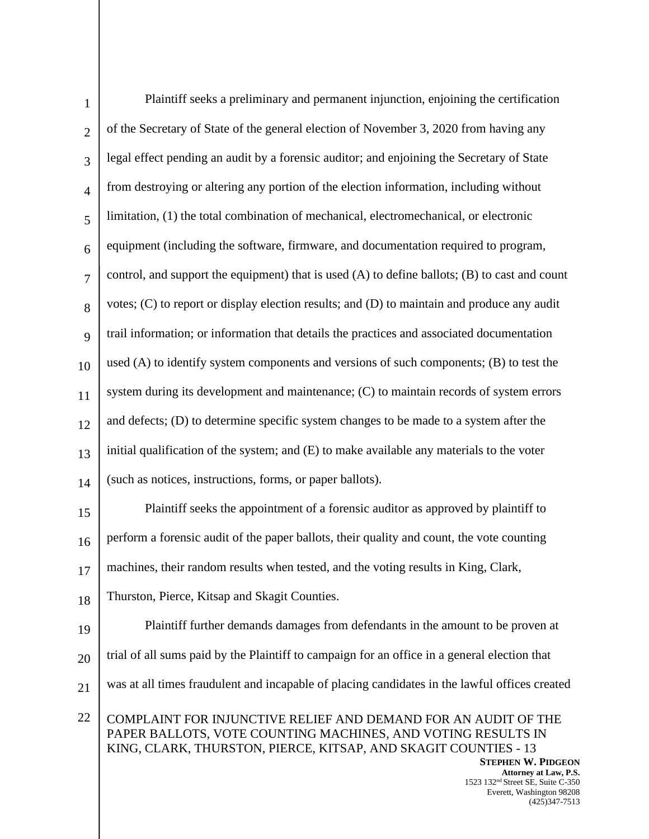| $\mathbf{1}$   | Plaintiff seeks a preliminary and permanent injunction, enjoining the certification                                                                                                                                                                                                                                                                               |
|----------------|-------------------------------------------------------------------------------------------------------------------------------------------------------------------------------------------------------------------------------------------------------------------------------------------------------------------------------------------------------------------|
| $\overline{2}$ | of the Secretary of State of the general election of November 3, 2020 from having any                                                                                                                                                                                                                                                                             |
| 3              | legal effect pending an audit by a forensic auditor; and enjoining the Secretary of State                                                                                                                                                                                                                                                                         |
| $\overline{4}$ | from destroying or altering any portion of the election information, including without                                                                                                                                                                                                                                                                            |
| 5              | limitation, (1) the total combination of mechanical, electromechanical, or electronic                                                                                                                                                                                                                                                                             |
| 6              | equipment (including the software, firmware, and documentation required to program,                                                                                                                                                                                                                                                                               |
| $\overline{7}$ | control, and support the equipment) that is used $(A)$ to define ballots; $(B)$ to cast and count                                                                                                                                                                                                                                                                 |
| 8              | votes; (C) to report or display election results; and (D) to maintain and produce any audit                                                                                                                                                                                                                                                                       |
| 9              | trail information; or information that details the practices and associated documentation                                                                                                                                                                                                                                                                         |
| 10             | used (A) to identify system components and versions of such components; (B) to test the                                                                                                                                                                                                                                                                           |
| 11             | system during its development and maintenance; (C) to maintain records of system errors                                                                                                                                                                                                                                                                           |
| 12             | and defects; (D) to determine specific system changes to be made to a system after the                                                                                                                                                                                                                                                                            |
| 13             | initial qualification of the system; and (E) to make available any materials to the voter                                                                                                                                                                                                                                                                         |
| 14             | (such as notices, instructions, forms, or paper ballots).                                                                                                                                                                                                                                                                                                         |
| 15             | Plaintiff seeks the appointment of a forensic auditor as approved by plaintiff to                                                                                                                                                                                                                                                                                 |
| 16             | perform a forensic audit of the paper ballots, their quality and count, the vote counting                                                                                                                                                                                                                                                                         |
| 17             | machines, their random results when tested, and the voting results in King, Clark,                                                                                                                                                                                                                                                                                |
| 18             | Thurston, Pierce, Kitsap and Skagit Counties.                                                                                                                                                                                                                                                                                                                     |
| 19             | Plaintiff further demands damages from defendants in the amount to be proven at                                                                                                                                                                                                                                                                                   |
| 20             | trial of all sums paid by the Plaintiff to campaign for an office in a general election that                                                                                                                                                                                                                                                                      |
| 21             | was at all times fraudulent and incapable of placing candidates in the lawful offices created                                                                                                                                                                                                                                                                     |
| 22             | COMPLAINT FOR INJUNCTIVE RELIEF AND DEMAND FOR AN AUDIT OF THE<br>PAPER BALLOTS, VOTE COUNTING MACHINES, AND VOTING RESULTS IN<br>KING, CLARK, THURSTON, PIERCE, KITSAP, AND SKAGIT COUNTIES - 13<br><b>STEPHEN W. PIDGEON</b><br><b>Attorney at Law, P.S.</b><br>1523 132 <sup>nd</sup> Street SE, Suite C-350<br>Everett, Washington 98208<br>$(425)347 - 7513$ |